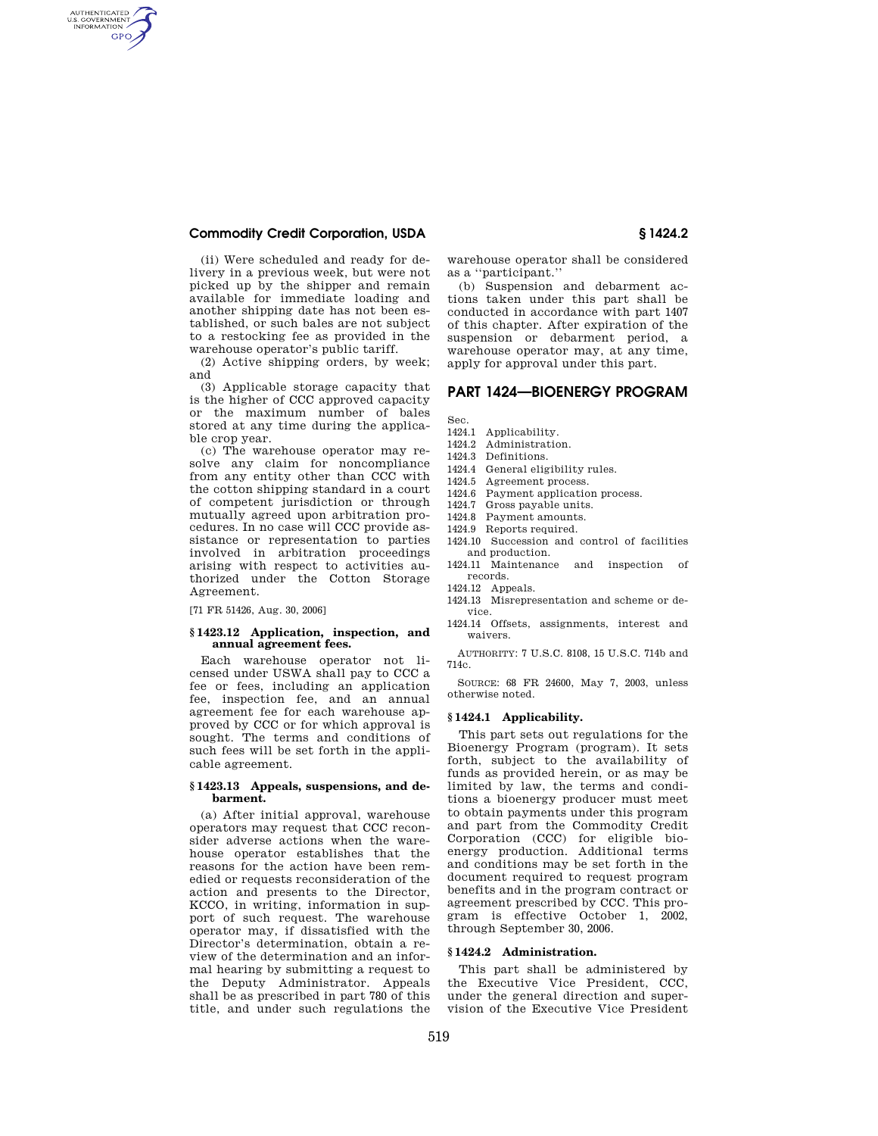## **Commodity Credit Corporation, USDA § 1424.2**

AUTHENTICATED<br>U.S. GOVERNMENT<br>INFORMATION **GPO** 

> (ii) Were scheduled and ready for delivery in a previous week, but were not picked up by the shipper and remain available for immediate loading and another shipping date has not been established, or such bales are not subject to a restocking fee as provided in the warehouse operator's public tariff.

> (2) Active shipping orders, by week; and

> (3) Applicable storage capacity that is the higher of CCC approved capacity or the maximum number of bales stored at any time during the applicable crop year.

> (c) The warehouse operator may resolve any claim for noncompliance from any entity other than CCC with the cotton shipping standard in a court of competent jurisdiction or through mutually agreed upon arbitration procedures. In no case will CCC provide assistance or representation to parties involved in arbitration proceedings arising with respect to activities authorized under the Cotton Storage Agreement.

[71 FR 51426, Aug. 30, 2006]

#### **§ 1423.12 Application, inspection, and annual agreement fees.**

Each warehouse operator not licensed under USWA shall pay to CCC a fee or fees, including an application fee, inspection fee, and an annual agreement fee for each warehouse approved by CCC or for which approval is sought. The terms and conditions of such fees will be set forth in the applicable agreement.

### **§ 1423.13 Appeals, suspensions, and debarment.**

(a) After initial approval, warehouse operators may request that CCC reconsider adverse actions when the warehouse operator establishes that the reasons for the action have been remedied or requests reconsideration of the action and presents to the Director, KCCO, in writing, information in support of such request. The warehouse operator may, if dissatisfied with the Director's determination, obtain a review of the determination and an informal hearing by submitting a request to the Deputy Administrator. Appeals shall be as prescribed in part 780 of this title, and under such regulations the

warehouse operator shall be considered as a ''participant.''

(b) Suspension and debarment actions taken under this part shall be conducted in accordance with part 1407 of this chapter. After expiration of the suspension or debarment period, a warehouse operator may, at any time, apply for approval under this part.

# **PART 1424—BIOENERGY PROGRAM**

Sec.

- 1424.1 Applicability.
- 1424.2 Administration.
- 1424.3 Definitions.
- 1424.4 General eligibility rules.
- 1424.5 Agreement process.
- 1424.6 Payment application process.
- 1424.7 Gross payable units.
- 1424.8 Payment amounts.
- 1424.9 Reports required.
- 1424.10 Succession and control of facilities and production.
- 1424.11 Maintenance and inspection of records.
- 1424.12 Appeals.
- 1424.13 Misrepresentation and scheme or device.
- 1424.14 Offsets, assignments, interest and waivers.

AUTHORITY: 7 U.S.C. 8108, 15 U.S.C. 714b and 714c.

SOURCE: 68 FR 24600, May 7, 2003, unless otherwise noted.

### **§ 1424.1 Applicability.**

This part sets out regulations for the Bioenergy Program (program). It sets forth, subject to the availability of funds as provided herein, or as may be limited by law, the terms and conditions a bioenergy producer must meet to obtain payments under this program and part from the Commodity Credit Corporation (CCC) for eligible bioenergy production. Additional terms and conditions may be set forth in the document required to request program benefits and in the program contract or agreement prescribed by CCC. This program is effective October 1, 2002, through September 30, 2006.

# **§ 1424.2 Administration.**

This part shall be administered by the Executive Vice President, CCC, under the general direction and supervision of the Executive Vice President